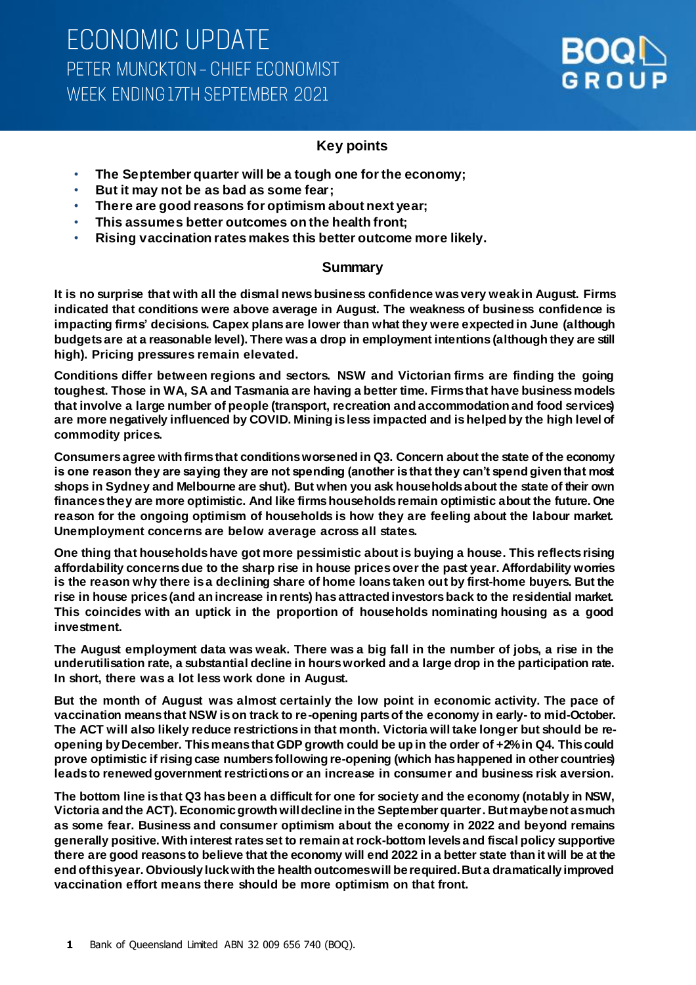

### **Key points**

- **The September quarter will be a tough one for the economy;**
- **But it may not be as bad as some fear;**
- **There are good reasons for optimism about next year;**
- **This assumes better outcomes on the health front;**
- **Rising vaccination rates makes this better outcome more likely.**

#### **Summary**

**It is no surprise that with all the dismal news business confidence was very weak in August. Firms indicated that conditions were above average in August. The weakness of business confidence is impacting firms' decisions. Capex plans are lower than what they were expected in June (although budgets are at a reasonable level). There was a drop in employment intentions (although they are still high). Pricing pressures remain elevated.** 

**Conditions differ between regions and sectors. NSW and Victorian firms are finding the going toughest. Those in WA, SA and Tasmania are having a better time. Firms that have business models that involve a large number of people (transport, recreation and accommodation and food services) are more negatively influenced by COVID. Mining is less impacted and is helped by the high level of commodity prices.** 

**Consumers agree with firms that conditions worsened in Q3. Concern about the state of the economy is one reason they are saying they are not spending (another is that they can't spend given that most shops in Sydney and Melbourne are shut). But when you ask households about the state of their own finances they are more optimistic. And like firms households remain optimistic about the future. One reason for the ongoing optimism of households is how they are feeling about the labour market. Unemployment concerns are below average across all states.** 

**One thing that households have got more pessimistic about is buying a house. This reflects rising affordability concerns due to the sharp rise in house prices over the past year. Affordability worries is the reason why there is a declining share of home loans taken out by first-home buyers. But the rise in house prices (and an increase in rents) has attracted investors back to the residential market. This coincides with an uptick in the proportion of households nominating housing as a good investment.** 

**The August employment data was weak. There was a big fall in the number of jobs, a rise in the underutilisation rate, a substantial decline in hours worked and a large drop in the participation rate. In short, there was a lot less work done in August.**

**But the month of August was almost certainly the low point in economic activity. The pace of vaccination means that NSW is on track to re-opening parts of the economy in early- to mid-October. The ACT will also likely reduce restrictions in that month. Victoria will take longer but should be reopening by December. This means that GDP growth could be up in the order of +2% in Q4. This could prove optimistic if rising case numbers following re-opening (which has happened in other countries) leads to renewed government restrictions or an increase in consumer and business risk aversion.**

**The bottom line is that Q3 has been a difficult for one for society and the economy (notably in NSW, Victoria and the ACT). Economic growth will decline in the September quarter. But maybe not as much as some fear. Business and consumer optimism about the economy in 2022 and beyond remains generally positive. With interest rates set to remain at rock-bottom levels and fiscal policy supportive there are good reasons to believe that the economy will end 2022 in a better state than it will be at the end of this year. Obviously luck with the health outcomes will be required. But a dramatically improved vaccination effort means there should be more optimism on that front.**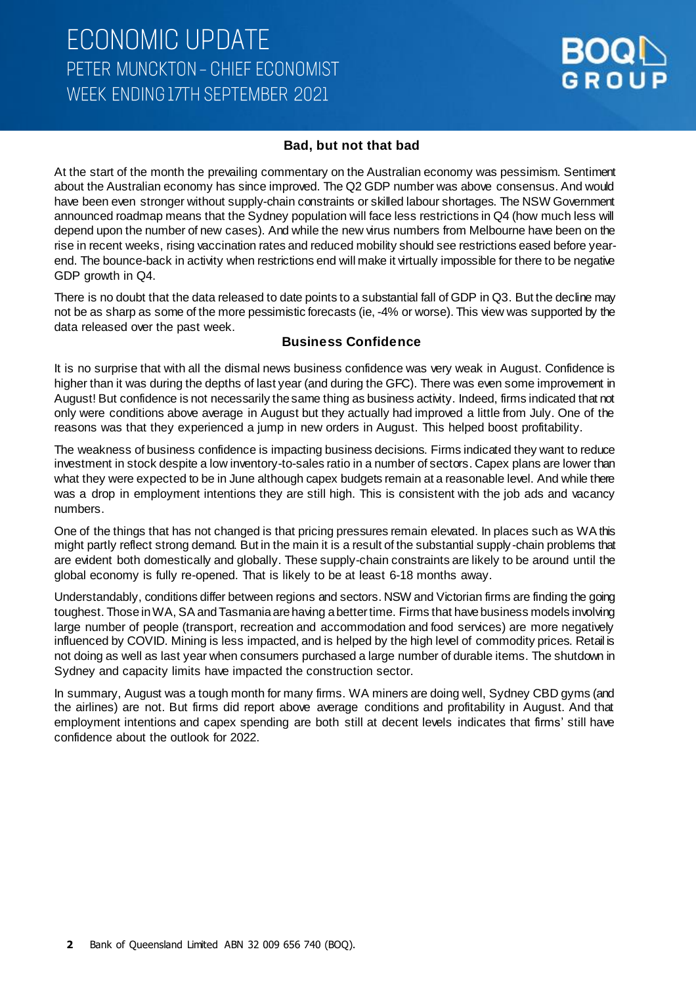### **ECONOMIC UPDATE** PETER MUNCKTON - CHIEF ECONOMIST WEEK ENDING 17TH SEPTEMBER 2021



#### **Bad, but not that bad**

At the start of the month the prevailing commentary on the Australian economy was pessimism. Sentiment about the Australian economy has since improved. The Q2 GDP number was above consensus. And would have been even stronger without supply-chain constraints or skilled labour shortages. The NSW Government announced roadmap means that the Sydney population will face less restrictions in Q4 (how much less will depend upon the number of new cases). And while the new virus numbers from Melbourne have been on the rise in recent weeks, rising vaccination rates and reduced mobility should see restrictions eased before yearend. The bounce-back in activity when restrictions end will make it virtually impossible for there to be negative GDP growth in Q4.

There is no doubt that the data released to date points to a substantial fall of GDP in Q3. But the decline may not be as sharp as some of the more pessimistic forecasts (ie, -4% or worse). This view was supported by the data released over the past week.

#### **Business Confidence**

It is no surprise that with all the dismal news business confidence was very weak in August. Confidence is higher than it was during the depths of last year (and during the GFC). There was even some improvement in August! But confidence is not necessarily the same thing as business activity. Indeed, firms indicated that not only were conditions above average in August but they actually had improved a little from July. One of the reasons was that they experienced a jump in new orders in August. This helped boost profitability.

The weakness of business confidence is impacting business decisions. Firms indicated they want to reduce investment in stock despite a low inventory-to-sales ratio in a number of sectors. Capex plans are lower than what they were expected to be in June although capex budgets remain at a reasonable level. And while there was a drop in employment intentions they are still high. This is consistent with the job ads and vacancy numbers.

One of the things that has not changed is that pricing pressures remain elevated. In places such as WA this might partly reflect strong demand. But in the main it is a result of the substantial supply -chain problems that are evident both domestically and globally. These supply-chain constraints are likely to be around until the global economy is fully re-opened. That is likely to be at least 6-18 months away.

Understandably, conditions differ between regions and sectors. NSW and Victorian firms are finding the going toughest. Those in WA, SA and Tasmania are having a better time. Firms that have business models involving large number of people (transport, recreation and accommodation and food services) are more negatively influenced by COVID. Mining is less impacted, and is helped by the high level of commodity prices. Retail is not doing as well as last year when consumers purchased a large number of durable items. The shutdown in Sydney and capacity limits have impacted the construction sector.

In summary, August was a tough month for many firms. WA miners are doing well, Sydney CBD gyms (and the airlines) are not. But firms did report above average conditions and profitability in August. And that employment intentions and capex spending are both still at decent levels indicates that firms' still have confidence about the outlook for 2022.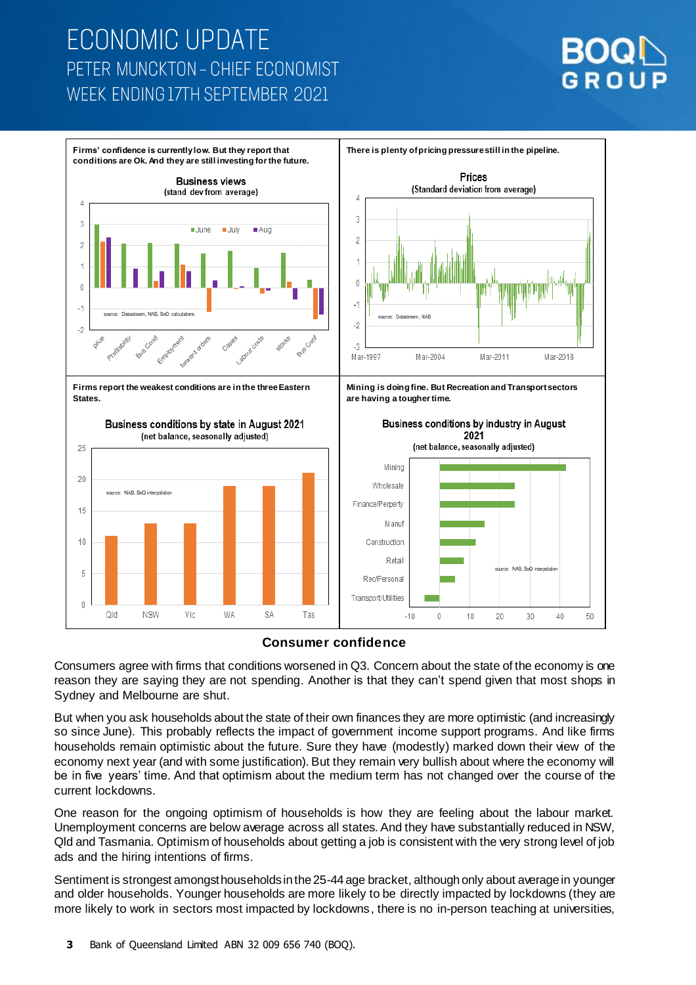# **ECONOMIC UPDATE** PETER MUNCKTON - CHIEF ECONOMIST WEEK ENDING 17TH SEPTEMBER 2021







Consumers agree with firms that conditions worsened in Q3. Concern about the state of the economy is one reason they are saying they are not spending. Another is that they can't spend given that most shops in Sydney and Melbourne are shut.

But when you ask households about the state of their own finances they are more optimistic (and increasingly so since June). This probably reflects the impact of government income support programs. And like firms households remain optimistic about the future. Sure they have (modestly) marked down their view of the economy next year (and with some justification). But they remain very bullish about where the economy will be in five years' time. And that optimism about the medium term has not changed over the course of the current lockdowns.

One reason for the ongoing optimism of households is how they are feeling about the labour market. Unemployment concerns are below average across all states. And they have substantially reduced in NSW, Qld and Tasmania. Optimism of households about getting a job is consistent with the very strong level of job ads and the hiring intentions of firms.

Sentiment is strongest amongst households in the 25-44 age bracket, although only about average in younger and older households. Younger households are more likely to be directly impacted by lockdowns (they are more likely to work in sectors most impacted by lockdowns, there is no in-person teaching at universities,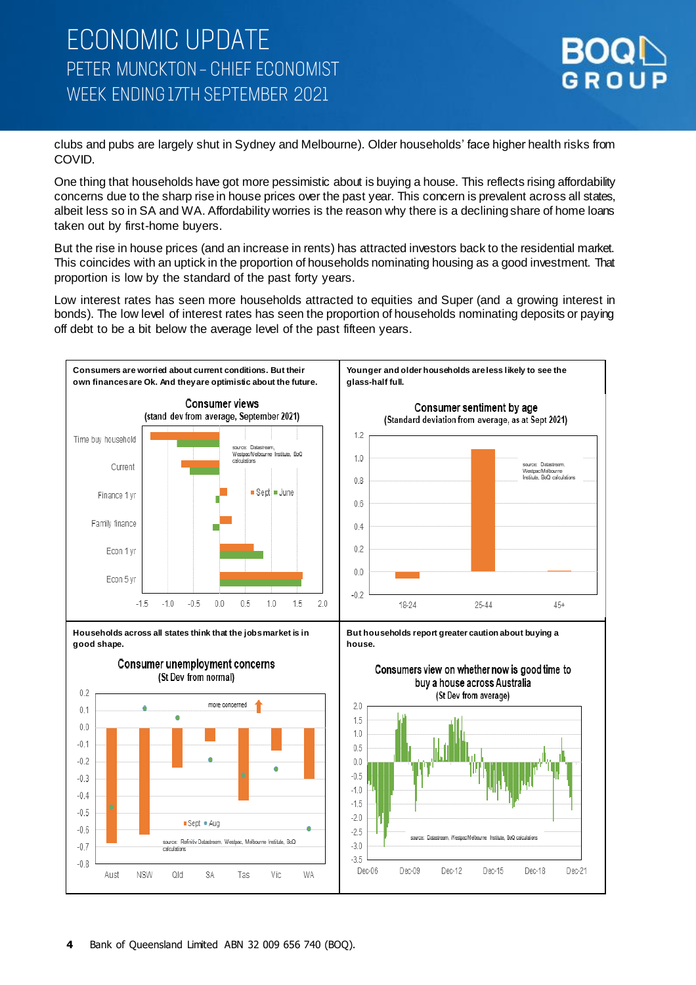

clubs and pubs are largely shut in Sydney and Melbourne). Older households' face higher health risks from COVID.

One thing that households have got more pessimistic about is buying a house. This reflects rising affordability concerns due to the sharp rise in house prices over the past year. This concern is prevalent across all states, albeit less so in SA and WA. Affordability worries is the reason why there is a declining share of home loans taken out by first-home buyers.

But the rise in house prices (and an increase in rents) has attracted investors back to the residential market. This coincides with an uptick in the proportion of households nominating housing as a good investment. That proportion is low by the standard of the past forty years.

Low interest rates has seen more households attracted to equities and Super (and a growing interest in bonds). The low level of interest rates has seen the proportion of households nominating deposits or paying off debt to be a bit below the average level of the past fifteen years.

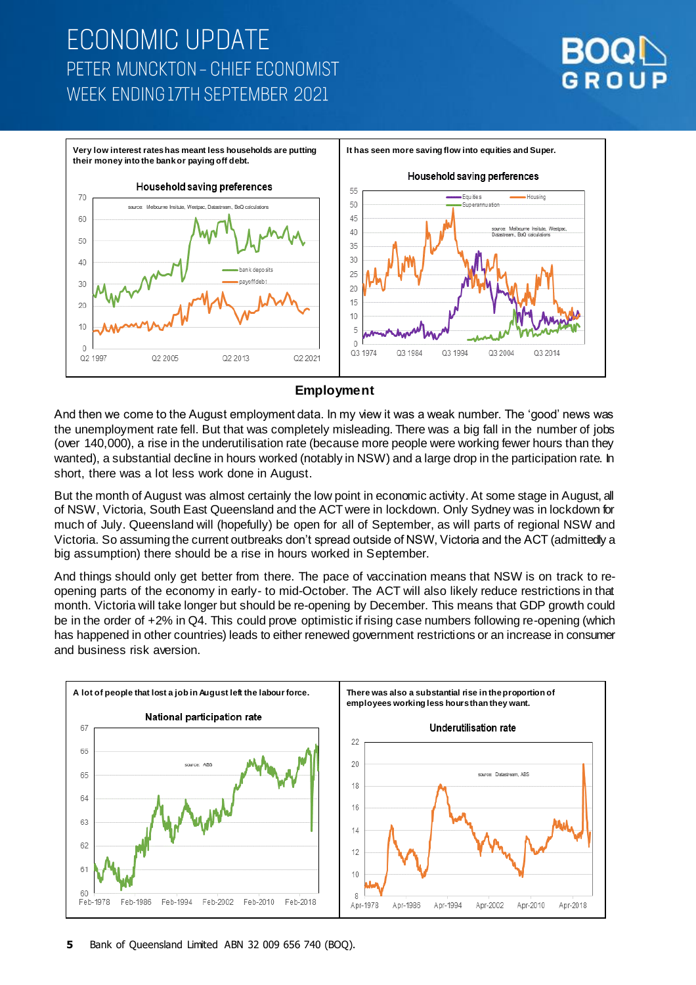# **ECONOMIC UPDATE** PETER MUNCKTON - CHIEF ECONOMIST WEEK FNDING 17TH SEPTEMBER 2021





#### **Employment**

And then we come to the August employment data. In my view it was a weak number. The 'good' news was the unemployment rate fell. But that was completely misleading. There was a big fall in the number of jobs (over 140,000), a rise in the underutilisation rate (because more people were working fewer hours than they wanted), a substantial decline in hours worked (notably in NSW) and a large drop in the participation rate. In short, there was a lot less work done in August.

But the month of August was almost certainly the low point in economic activity. At some stage in August, all of NSW, Victoria, South East Queensland and the ACT were in lockdown. Only Sydney was in lockdown for much of July. Queensland will (hopefully) be open for all of September, as will parts of regional NSW and Victoria. So assuming the current outbreaks don't spread outside of NSW, Victoria and the ACT (admittedly a big assumption) there should be a rise in hours worked in September.

And things should only get better from there. The pace of vaccination means that NSW is on track to reopening parts of the economy in early- to mid-October. The ACT will also likely reduce restrictions in that month. Victoria will take longer but should be re-opening by December. This means that GDP growth could be in the order of +2% in Q4. This could prove optimistic if rising case numbers following re-opening (which has happened in other countries) leads to either renewed government restrictions or an increase in consumer and business risk aversion.